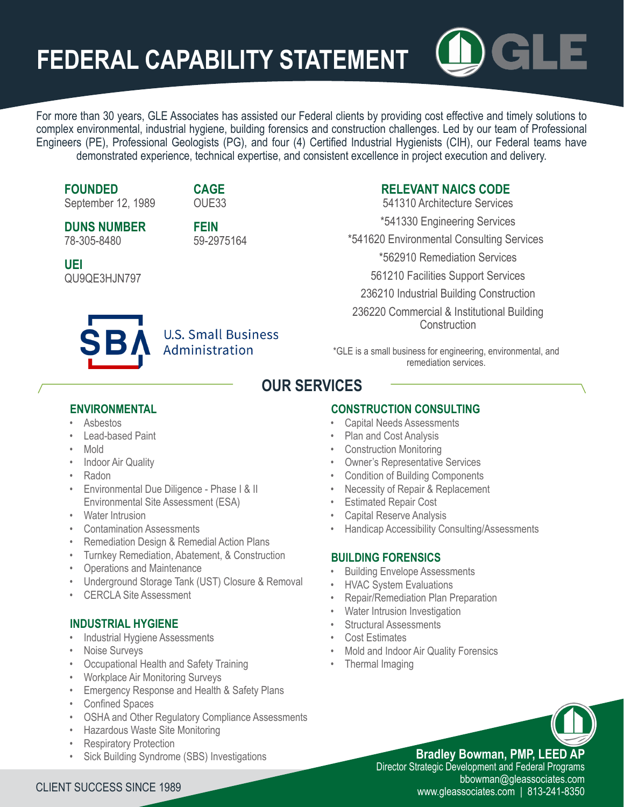# **FEDERAL CAPABILITY STATEMENT**



**FOUNDED**

September 12, 1989

**DUNS NUMBER** 78-305-8480

QU9QE3HJN797

**UEI**

**FEIN** 59-2975164

**CAGE** OUE33

#### **RELEVANT NAICS CODE** 541310 Architecture Services

\*541330 Engineering Services

\*541620 Environmental Consulting Services

\*562910 Remediation Services

561210 Facilities Support Services

236210 Industrial Building Construction

236220 Commercial & Institutional Building **Construction** 

### **U.S. Small Business** Administration

\*GLE is a small business for engineering, environmental, and remediation services.

## **OUR SERVICES**

#### **ENVIRONMENTAL**

- Asbestos
- Lead-based Paint
- Mold
- Indoor Air Quality
- Radon
- Environmental Due Diligence Phase I & II Environmental Site Assessment (ESA)
- Water Intrusion
- Contamination Assessments
- Remediation Design & Remedial Action Plans
- Turnkey Remediation, Abatement, & Construction
- Operations and Maintenance
- Underground Storage Tank (UST) Closure & Removal
- CERCLA Site Assessment

#### **INDUSTRIAL HYGIENE**

- Industrial Hygiene Assessments
- Noise Surveys
- Occupational Health and Safety Training
- Workplace Air Monitoring Surveys
- Emergency Response and Health & Safety Plans
- Confined Spaces
- OSHA and Other Regulatory Compliance Assessments
- Hazardous Waste Site Monitoring
- **Respiratory Protection**
- Sick Building Syndrome (SBS) Investigations

#### **CONSTRUCTION CONSULTING**

- Capital Needs Assessments
- Plan and Cost Analysis
- Construction Monitoring
- Owner's Representative Services
- Condition of Building Components
- Necessity of Repair & Replacement
- **Estimated Repair Cost**
- Capital Reserve Analysis
- Handicap Accessibility Consulting/Assessments

#### **BUILDING FORENSICS**

- **Building Envelope Assessments**
- HVAC System Evaluations
- Repair/Remediation Plan Preparation
- Water Intrusion Investigation
- Structural Assessments
- Cost Estimates
- Mold and Indoor Air Quality Forensics
- Thermal Imaging

**Bradley Bowman, PMP, LEED AP** Director Strategic Development and Federal Programs<br>bbowman@gleassociates.com

bbowman@gleassociates.com CLIENT SUCCESS SINCE 1989 www.gleassociates.com | 813-241-8350